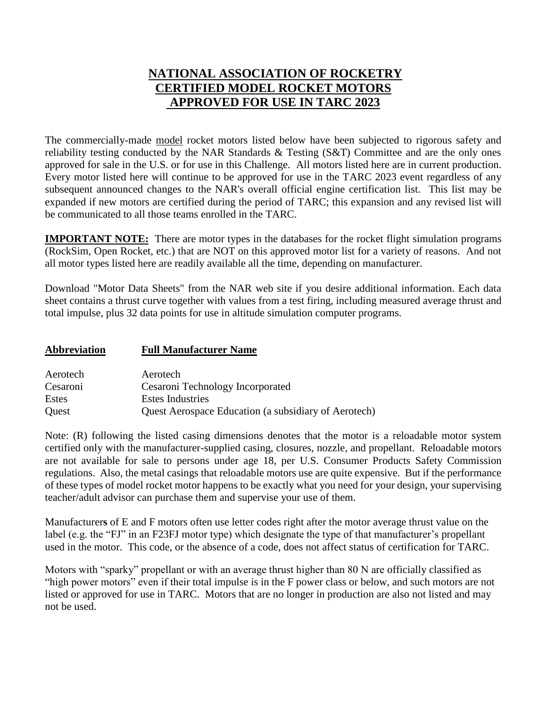## **NATIONAL ASSOCIATION OF ROCKETRY CERTIFIED MODEL ROCKET MOTORS APPROVED FOR USE IN TARC 2023**

The commercially-made model rocket motors listed below have been subjected to rigorous safety and reliability testing conducted by the NAR Standards & Testing (S&T) Committee and are the only ones approved for sale in the U.S. or for use in this Challenge. All motors listed here are in current production. Every motor listed here will continue to be approved for use in the TARC 2023 event regardless of any subsequent announced changes to the NAR's overall official engine certification list. This list may be expanded if new motors are certified during the period of TARC; this expansion and any revised list will be communicated to all those teams enrolled in the TARC.

**IMPORTANT NOTE:** There are motor types in the databases for the rocket flight simulation programs (RockSim, Open Rocket, etc.) that are NOT on this approved motor list for a variety of reasons. And not all motor types listed here are readily available all the time, depending on manufacturer.

Download "Motor Data Sheets" from the NAR web site if you desire additional information. Each data sheet contains a thrust curve together with values from a test firing, including measured average thrust and total impulse, plus 32 data points for use in altitude simulation computer programs.

| <b>Abbreviation</b> | <b>Full Manufacturer Name</b>                        |  |  |  |  |
|---------------------|------------------------------------------------------|--|--|--|--|
| Aerotech            | Aerotech                                             |  |  |  |  |
| Cesaroni            | Cesaroni Technology Incorporated                     |  |  |  |  |
| <b>Estes</b>        | <b>Estes Industries</b>                              |  |  |  |  |
| Quest               | Quest Aerospace Education (a subsidiary of Aerotech) |  |  |  |  |

Note: (R) following the listed casing dimensions denotes that the motor is a reloadable motor system certified only with the manufacturer-supplied casing, closures, nozzle, and propellant. Reloadable motors are not available for sale to persons under age 18, per U.S. Consumer Products Safety Commission regulations. Also, the metal casings that reloadable motors use are quite expensive. But if the performance of these types of model rocket motor happens to be exactly what you need for your design, your supervising teacher/adult advisor can purchase them and supervise your use of them.

Manufacturer**s** of E and F motors often use letter codes right after the motor average thrust value on the label (e.g. the "FJ" in an F23FJ motor type) which designate the type of that manufacturer's propellant used in the motor. This code, or the absence of a code, does not affect status of certification for TARC.

Motors with "sparky" propellant or with an average thrust higher than 80 N are officially classified as "high power motors" even if their total impulse is in the F power class or below, and such motors are not listed or approved for use in TARC. Motors that are no longer in production are also not listed and may not be used.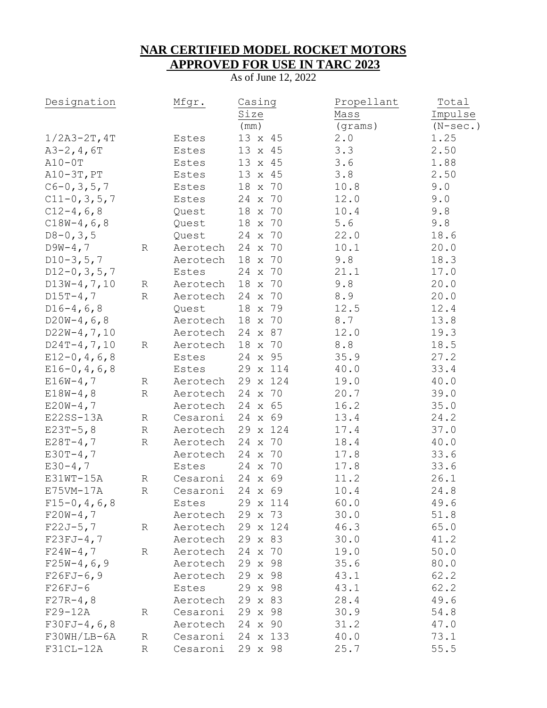## **NAR CERTIFIED MODEL ROCKET MOTORS APPROVED FOR USE IN TARC 2023**

As of June 12, 2022

| Designation       |             | Mfgr.            | Casing            | Propellant | Total      |
|-------------------|-------------|------------------|-------------------|------------|------------|
|                   |             |                  | Size              | Mass       | Impulse    |
|                   |             |                  | (mm)              | (grams)    | $(N-sec.)$ |
| $1/2A3 - 2T, 4T$  |             | Estes            | 13 x 45           | 2.0        | 1.25       |
| $A3-2, 4, 6T$     |             | Estes            | 13 x 45           | 3.3        | 2.50       |
| $A10-0T$          |             | Estes            | 13 x 45           | 3.6        | 1.88       |
| $A10-3T, PT$      |             | Estes            | 13 x 45           | 3.8        | 2.50       |
| $C6 - 0, 3, 5, 7$ |             | Estes            | 18 x 70           | 10.8       | 9.0        |
| $C11-0, 3, 5, 7$  |             | Estes            | 24 x 70           | 12.0       | 9.0        |
| $C12-4, 6, 8$     |             | Quest            | 18 x 70           | 10.4       | 9.8        |
| $C18W-4, 6, 8$    |             | Quest            | 18 x 70           | 5.6        | 9.8        |
| $D8 - 0, 3, 5$    |             | Quest            | 70<br>24 x        | 22.0       | 18.6       |
| $D9W-4,7$         | $\mathbb R$ | Aerotech         | 70<br>24 x        | 10.1       | 20.0       |
| $D10-3, 5, 7$     |             | Aerotech         | 18 x 70           | 9.8        | 18.3       |
| $D12-0, 3, 5, 7$  |             | Estes            | 24 x 70           | 21.1       | 17.0       |
| $D13W-4, 7, 10$   | R           | Aerotech         | x 70<br>18        | 9.8        | 20.0       |
| $D15T-4,7$        | $\mathbb R$ | Aerotech         | 24 x 70           | 8.9        | 20.0       |
| $D16-4, 6, 8$     |             | Quest            | 18<br>x 79        | 12.5       | 12.4       |
| $D20W-4, 6, 8$    |             | Aerotech         | 18<br>x 70        | 8.7        | 13.8       |
| $D22W-4, 7, 10$   |             | Aerotech         | 24 x 87           | 12.0       | 19.3       |
| $D24T-4, 7, 10$   | $\mathbb R$ | Aerotech         | 18 x 70           | 8.8        | 18.5       |
| $E12-0, 4, 6, 8$  |             | Estes            | 24 x 95           | 35.9       | 27.2       |
| $E16-0, 4, 6, 8$  |             | Estes            | 29 x 114          | 40.0       | 33.4       |
| $E16W-4,7$        | R           | Aerotech         | 29 x 124          | 19.0       | 40.0       |
| $E18W-4, 8$       | $\mathbb R$ | Aerotech         | 24 x 70           | 20.7       | 39.0       |
| $E20W-4,7$        |             | Aerotech         | 24 x 65           | 16.2       | 35.0       |
| E22SS-13A         | $\mathbb R$ | Cesaroni         | 24 x 69           | 13.4       | 24.2       |
| $E23T-5,8$        | $\mathbb R$ | Aerotech         | 29 x 124          | 17.4       | 37.0       |
| $E28T - 4,7$      | R           | Aerotech         | 70<br>24 x        | 18.4       | 40.0       |
| $E30T-4,7$        |             | Aerotech         | 24 x<br>70        | 17.8       | 33.6       |
| $E30-4,7$         |             | Estes            | 24 x 70           | 17.8       | 33.6       |
| E31WT-15A         | R           | Cesaroni         | 24 x 69           | 11.2       | 26.1       |
| E75VM-17A         | R           | Cesaroni         | 24 x 69           | 10.4       | 24.8       |
| $F15-0, 4, 6, 8$  |             | Estes            | 29 x 114          | 60.0       | 49.6       |
| $F20W-4,7$        |             | Aerotech         | 29 x 73           | 30.0       | 51.8       |
| $F22J-5,7$        | R           |                  | Aerotech 29 x 124 | 46.3       | 65.0       |
| $F23FJ-4,7$       |             | Aerotech 29 x 83 |                   | 30.0       | 41.2       |
| $F24W-4,7$        | R           | Aerotech 24 x 70 |                   | 19.0       | 50.0       |
| $F25W-4,6,9$      |             | Aerotech         | 29 x 98           | 35.6       | 80.0       |
| $F26FJ-6, 9$      |             | Aerotech         | 29 x 98           | 43.1       | 62.2       |
| F26FJ-6           |             | Estes            | 29 x 98           | 43.1       | 62.2       |
| $F27R-4,8$        |             | Aerotech         | 29 x 83           | 28.4       | 49.6       |
| F29-12A           | R           | Cesaroni         | 29 x 98           | 30.9       | 54.8       |
| $F30FJ-4,6,8$     |             | Aerotech         | 24 x 90           | 31.2       | 47.0       |
| F30WH/LB-6A       | R           |                  | Cesaroni 24 x 133 | 40.0       | 73.1       |
| F31CL-12A         | R           | Cesaroni 29 x 98 |                   | 25.7       | 55.5       |
|                   |             |                  |                   |            |            |